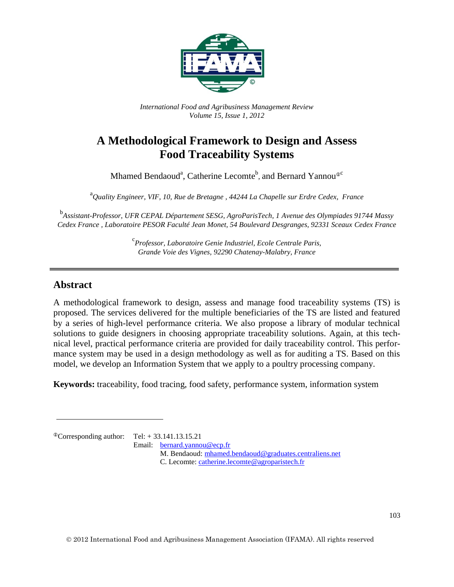

*International Food and Agribusiness Management Review Volume 15, Issue 1, 2012*

# **A Methodological Framework to Design and Assess Food Traceability Systems**

Mhamed Bendaoud<sup>a</sup>, Catherine Lecomte<sup>b</sup>, and Bernard Yannou<sup>®c</sup>

a *Quality Engineer, VIF, 10, Rue de Bretagne , 44244 La Chapelle sur Erdre Cedex, France*

b *Assistant-Professor, UFR CEPAL Département SESG, AgroParisTech, 1 Avenue des Olympiades 91744 Massy Cedex France , Laboratoire PESOR Faculté Jean Monet, 54 Boulevard Desgranges, 92331 Sceaux Cedex France*

> c *Professor, Laboratoire Genie Industriel, Ecole Centrale Paris, Grande Voie des Vignes, 92290 Chatenay-Malabry, France*

## **Abstract**

A methodological framework to design, assess and manage food traceability systems (TS) is proposed. The services delivered for the multiple beneficiaries of the TS are listed and featured by a series of high-level performance criteria. We also propose a library of modular technical solutions to guide designers in choosing appropriate traceability solutions. Again, at this technical level, practical performance criteria are provided for daily traceability control. This performance system may be used in a design methodology as well as for auditing a TS. Based on this model, we develop an Information System that we apply to a poultry processing company.

**Keywords:** traceability, food tracing, food safety, performance system, information system

 ${}^{\circ}$ Corresponding author: Tel: + 33.141.13.15.21

Email: [bernard.yannou@ecp.fr](mailto:bernard.yannou@ecp.fr)

M. Bendaoud: [mhamed.bendaoud@graduates.centraliens.net](mailto:mhamed.bendaoud@graduates.centraliens.net) C. Lecomte: [catherine.lecomte@agroparistech.fr](mailto:catherine.lecomte@agroparistech.fr)

2012 International Food and Agribusiness Management Association (IFAMA). All rights reserved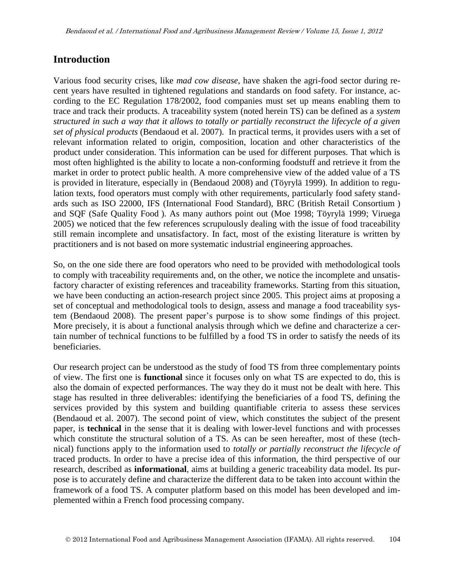## **Introduction**

Various food security crises, like *mad cow disease*, have shaken the agri-food sector during recent years have resulted in tightened regulations and standards on food safety. For instance, according to the EC Regulation 178/2002, food companies must set up means enabling them to trace and track their products. A traceability system (noted herein TS) can be defined as a *system structured in such a way that it allows to totally or partially reconstruct the lifecycle of a given set of physical products* (Bendaoud et al. 2007). In practical terms, it provides users with a set of relevant information related to origin, composition, location and other characteristics of the product under consideration. This information can be used for different purposes. That which is most often highlighted is the ability to locate a non-conforming foodstuff and retrieve it from the market in order to protect public health. A more comprehensive view of the added value of a TS is provided in literature, especially in (Bendaoud 2008) and (Töyrylä 1999). In addition to regulation texts, food operators must comply with other requirements, particularly food safety standards such as ISO 22000, IFS (International Food Standard), BRC (British Retail Consortium ) and SQF (Safe Quality Food ). As many authors point out (Moe 1998; Töyrylä 1999; Viruega 2005) we noticed that the few references scrupulously dealing with the issue of food traceability still remain incomplete and unsatisfactory. In fact, most of the existing literature is written by practitioners and is not based on more systematic industrial engineering approaches.

So, on the one side there are food operators who need to be provided with methodological tools to comply with traceability requirements and, on the other, we notice the incomplete and unsatisfactory character of existing references and traceability frameworks. Starting from this situation, we have been conducting an action-research project since 2005. This project aims at proposing a set of conceptual and methodological tools to design, assess and manage a food traceability system (Bendaoud 2008). The present paper's purpose is to show some findings of this project. More precisely, it is about a functional analysis through which we define and characterize a certain number of technical functions to be fulfilled by a food TS in order to satisfy the needs of its beneficiaries.

Our research project can be understood as the study of food TS from three complementary points of view. The first one is **functional** since it focuses only on what TS are expected to do, this is also the domain of expected performances. The way they do it must not be dealt with here. This stage has resulted in three deliverables: identifying the beneficiaries of a food TS, defining the services provided by this system and building quantifiable criteria to assess these services (Bendaoud et al. 2007). The second point of view, which constitutes the subject of the present paper, is **technical** in the sense that it is dealing with lower-level functions and with processes which constitute the structural solution of a TS. As can be seen hereafter, most of these (technical) functions apply to the information used to *totally or partially reconstruct the lifecycle of* traced products. In order to have a precise idea of this information, the third perspective of our research, described as **informational**, aims at building a generic traceability data model. Its purpose is to accurately define and characterize the different data to be taken into account within the framework of a food TS. A computer platform based on this model has been developed and implemented within a French food processing company.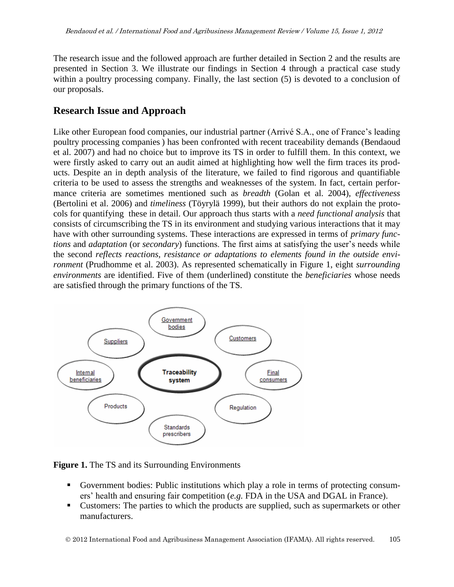The research issue and the followed approach are further detailed in Section 2 and the results are presented in Section 3. We illustrate our findings in Section 4 through a practical case study within a poultry processing company. Finally, the last section (5) is devoted to a conclusion of our proposals.

## **Research Issue and Approach**

Like other European food companies, our industrial partner (Arrivé S.A., one of France's leading poultry processing companies ) has been confronted with recent traceability demands (Bendaoud et al. 2007) and had no choice but to improve its TS in order to fulfill them. In this context, we were firstly asked to carry out an audit aimed at highlighting how well the firm traces its products. Despite an in depth analysis of the literature, we failed to find rigorous and quantifiable criteria to be used to assess the strengths and weaknesses of the system. In fact, certain performance criteria are sometimes mentioned such as *breadth* (Golan et al. 2004), *effectiveness* (Bertolini et al. 2006) and *timeliness* (Töyrylä 1999), but their authors do not explain the protocols for quantifying these in detail. Our approach thus starts with a *need functional analysis* that consists of circumscribing the TS in its environment and studying various interactions that it may have with other surrounding systems. These interactions are expressed in terms of *primary functions* and *adaptation* (or *secondary*) functions. The first aims at satisfying the user's needs while the second *reflects reactions, resistance or adaptations to elements found in the outside environment* (Prudhomme et al. 2003). As represented schematically in Figure 1, eight *surrounding environments* are identified. Five of them (underlined) constitute the *beneficiaries* whose needs are satisfied through the primary functions of the TS.



**Figure 1.** The TS and its Surrounding Environments

- Government bodies: Public institutions which play a role in terms of protecting consumers' health and ensuring fair competition (*e.g.* FDA in the USA and DGAL in France).
- Customers: The parties to which the products are supplied, such as supermarkets or other manufacturers.

2012 International Food and Agribusiness Management Association (IFAMA). All rights reserved. 105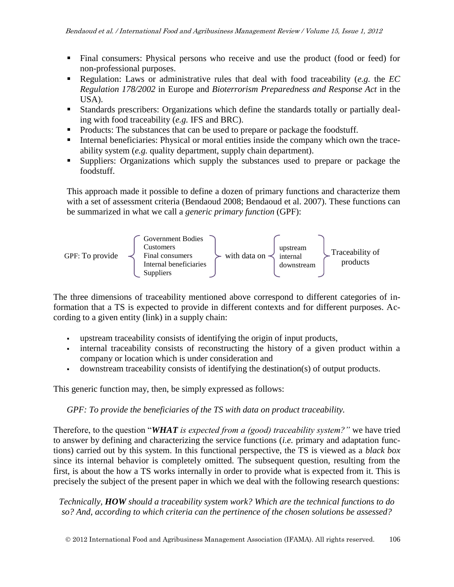- Final consumers: Physical persons who receive and use the product (food or feed) for non-professional purposes.
- Regulation: Laws or administrative rules that deal with food traceability (*e.g.* the *EC Regulation 178/2002* in Europe and *Bioterrorism Preparedness and Response Act* in the USA).
- Standards prescribers: Organizations which define the standards totally or partially dealing with food traceability (*e.g.* IFS and BRC).
- Products: The substances that can be used to prepare or package the foodstuff.
- Internal beneficiaries: Physical or moral entities inside the company which own the traceability system (*e.g.* quality department, supply chain department).
- Suppliers: Organizations which supply the substances used to prepare or package the foodstuff.

This approach made it possible to define a dozen of primary functions and characterize them with a set of assessment criteria (Bendaoud 2008; Bendaoud et al. 2007). These functions can be summarized in what we call a *generic primary function* (GPF):



The three dimensions of traceability mentioned above correspond to different categories of information that a TS is expected to provide in different contexts and for different purposes. According to a given entity (link) in a supply chain:

- upstream traceability consists of identifying the origin of input products,
- internal traceability consists of reconstructing the history of a given product within a company or location which is under consideration and
- downstream traceability consists of identifying the destination(s) of output products.

This generic function may, then, be simply expressed as follows:

#### *GPF: To provide the beneficiaries of the TS with data on product traceability.*

Therefore, to the question "*WHAT is expected from a (good) traceability system?"* we have tried to answer by defining and characterizing the service functions (*i.e.* primary and adaptation functions) carried out by this system. In this functional perspective, the TS is viewed as a *black box* since its internal behavior is completely omitted. The subsequent question, resulting from the first, is about the how a TS works internally in order to provide what is expected from it. This is precisely the subject of the present paper in which we deal with the following research questions:

*Technically, HOW should a traceability system work? Which are the technical functions to do so? And, according to which criteria can the pertinence of the chosen solutions be assessed?*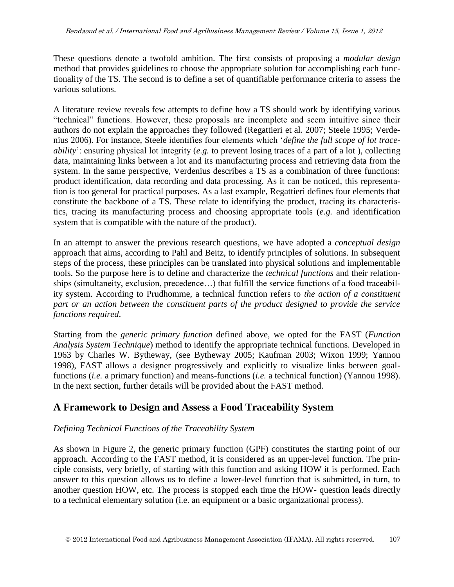These questions denote a twofold ambition. The first consists of proposing a *modular design* method that provides guidelines to choose the appropriate solution for accomplishing each functionality of the TS. The second is to define a set of quantifiable performance criteria to assess the various solutions.

A literature review reveals few attempts to define how a TS should work by identifying various "technical" functions. However, these proposals are incomplete and seem intuitive since their authors do not explain the approaches they followed (Regattieri et al. 2007; Steele 1995; Verdenius 2006). For instance, Steele identifies four elements which '*define the full scope of lot traceability*': ensuring physical lot integrity (*e.g.* to prevent losing traces of a part of a lot ), collecting data, maintaining links between a lot and its manufacturing process and retrieving data from the system. In the same perspective, Verdenius describes a TS as a combination of three functions: product identification, data recording and data processing. As it can be noticed, this representation is too general for practical purposes. As a last example, Regattieri defines four elements that constitute the backbone of a TS. These relate to identifying the product, tracing its characteristics, tracing its manufacturing process and choosing appropriate tools (*e.g.* and identification system that is compatible with the nature of the product).

In an attempt to answer the previous research questions, we have adopted a *conceptual design* approach that aims, according to Pahl and Beitz, to identify principles of solutions. In subsequent steps of the process, these principles can be translated into physical solutions and implementable tools. So the purpose here is to define and characterize the *technical functions* and their relationships (simultaneity, exclusion, precedence…) that fulfill the service functions of a food traceability system. According to Prudhomme, a technical function refers to *the action of a constituent part or an action between the constituent parts of the product designed to provide the service functions required*.

Starting from the *generic primary function* defined above*,* we opted for the FAST (*Function Analysis System Technique*) method to identify the appropriate technical functions. Developed in 1963 by Charles W. Bytheway, (see Bytheway 2005; Kaufman 2003; Wixon 1999; Yannou 1998), FAST allows a designer progressively and explicitly to visualize links between goalfunctions (*i.e.* a primary function) and means-functions (*i.e.* a technical function) (Yannou 1998). In the next section, further details will be provided about the FAST method.

## **A Framework to Design and Assess a Food Traceability System**

#### *Defining Technical Functions of the Traceability System*

As shown in Figure 2, the generic primary function (GPF) constitutes the starting point of our approach. According to the FAST method, it is considered as an upper-level function. The principle consists, very briefly, of starting with this function and asking HOW it is performed. Each answer to this question allows us to define a lower-level function that is submitted, in turn, to another question HOW, etc. The process is stopped each time the HOW- question leads directly to a technical elementary solution (i.e. an equipment or a basic organizational process).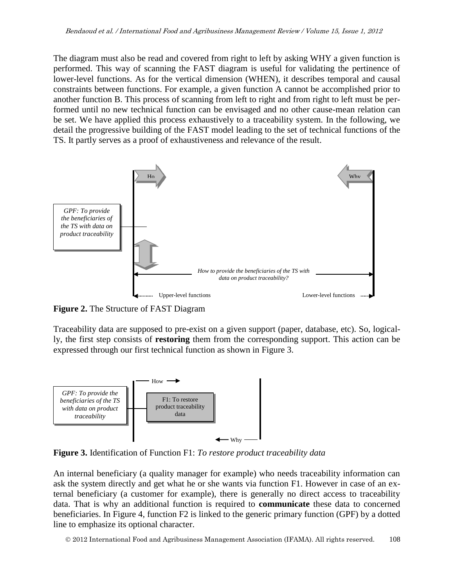The diagram must also be read and covered from right to left by asking WHY a given function is performed. This way of scanning the FAST diagram is useful for validating the pertinence of lower-level functions. As for the vertical dimension (WHEN), it describes temporal and causal constraints between functions. For example, a given function A cannot be accomplished prior to another function B. This process of scanning from left to right and from right to left must be performed until no new technical function can be envisaged and no other cause-mean relation can be set. We have applied this process exhaustively to a traceability system. In the following, we detail the progressive building of the FAST model leading to the set of technical functions of the TS. It partly serves as a proof of exhaustiveness and relevance of the result.



**Figure 2.** The Structure of FAST Diagram

Traceability data are supposed to pre-exist on a given support (paper, database, etc). So, logically, the first step consists of **restoring** them from the corresponding support. This action can be expressed through our first technical function as shown in Figure 3.



**Figure 3.** Identification of Function F1: *To restore product traceability data*

An internal beneficiary (a quality manager for example) who needs traceability information can ask the system directly and get what he or she wants via function F1. However in case of an external beneficiary (a customer for example), there is generally no direct access to traceability data. That is why an additional function is required to **communicate** these data to concerned beneficiaries. In Figure 4, function F2 is linked to the generic primary function (GPF) by a dotted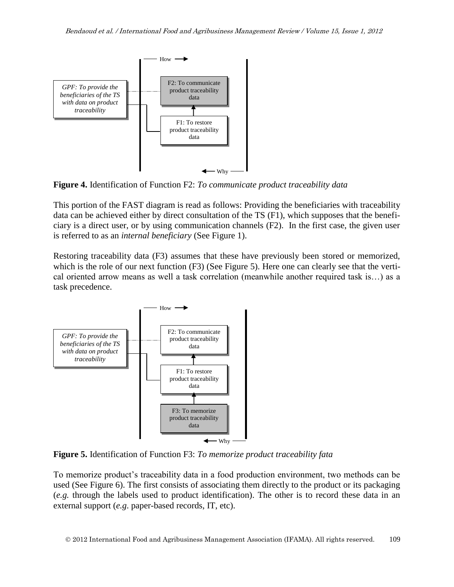

**Figure 4.** Identification of Function F2: *To communicate product traceability data*

This portion of the FAST diagram is read as follows: Providing the beneficiaries with traceability data can be achieved either by direct consultation of the TS (F1), which supposes that the beneficiary is a direct user, or by using communication channels (F2). In the first case, the given user is referred to as an *internal beneficiary* (See Figure 1).

Restoring traceability data (F3) assumes that these have previously been stored or memorized, which is the role of our next function (F3) (See Figure 5). Here one can clearly see that the vertical oriented arrow means as well a task correlation (meanwhile another required task is…) as a task precedence.



**Figure 5.** Identification of Function F3: *To memorize product traceability fata*

To memorize product's traceability data in a food production environment, two methods can be used (See Figure 6). The first consists of associating them directly to the product or its packaging (*e.g.* through the labels used to product identification). The other is to record these data in an external support (*e.g*. paper-based records, IT, etc).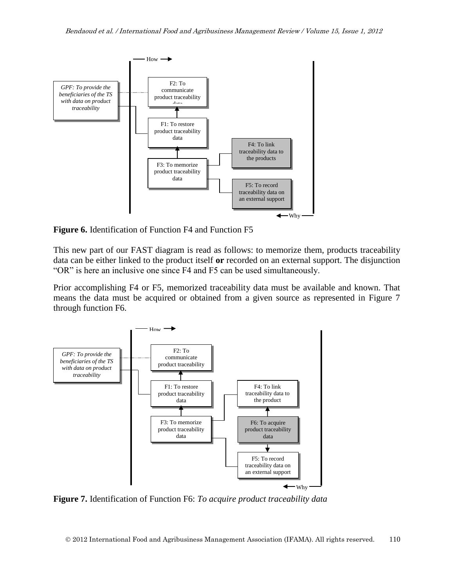

**Figure 6.** Identification of Function F4 and Function F5

This new part of our FAST diagram is read as follows: to memorize them, products traceability data can be either linked to the product itself **or** recorded on an external support. The disjunction "OR" is here an inclusive one since F4 and F5 can be used simultaneously.

Prior accomplishing F4 or F5, memorized traceability data must be available and known. That means the data must be acquired or obtained from a given source as represented in Figure 7 through function F6.



**Figure 7.** Identification of Function F6: *To acquire product traceability data*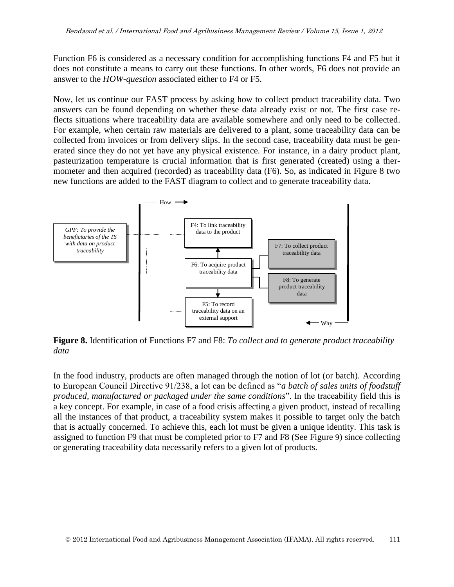Function F6 is considered as a necessary condition for accomplishing functions F4 and F5 but it does not constitute a means to carry out these functions. In other words, F6 does not provide an answer to the *HOW-question* associated either to F4 or F5.

Now, let us continue our FAST process by asking how to collect product traceability data. Two answers can be found depending on whether these data already exist or not. The first case reflects situations where traceability data are available somewhere and only need to be collected. For example, when certain raw materials are delivered to a plant, some traceability data can be collected from invoices or from delivery slips. In the second case, traceability data must be generated since they do not yet have any physical existence. For instance, in a dairy product plant, pasteurization temperature is crucial information that is first generated (created) using a thermometer and then acquired (recorded) as traceability data (F6). So, as indicated in Figure 8 two new functions are added to the FAST diagram to collect and to generate traceability data.



**Figure 8.** Identification of Functions F7 and F8: *To collect and to generate product traceability data*

In the food industry, products are often managed through the notion of lot (or batch). According to European Council Directive 91/238, a lot can be defined as "*a batch of sales units of foodstuff produced, manufactured or packaged under the same conditions*". In the traceability field this is a key concept. For example, in case of a food crisis affecting a given product, instead of recalling all the instances of that product, a traceability system makes it possible to target only the batch that is actually concerned. To achieve this, each lot must be given a unique identity. This task is assigned to function F9 that must be completed prior to F7 and F8 (See Figure 9) since collecting or generating traceability data necessarily refers to a given lot of products.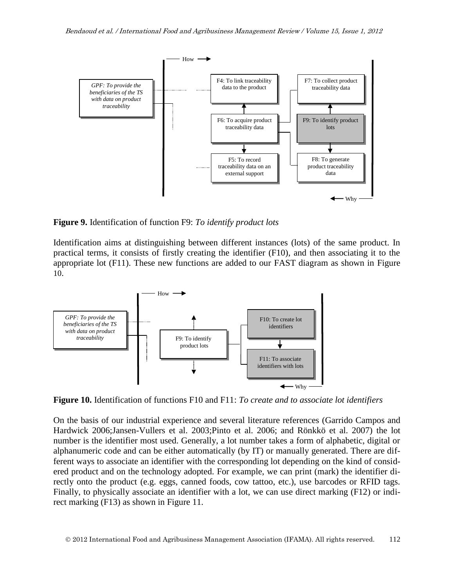

**Figure 9.** Identification of function F9: *To identify product lots*

Identification aims at distinguishing between different instances (lots) of the same product. In practical terms, it consists of firstly creating the identifier (F10), and then associating it to the appropriate lot (F11). These new functions are added to our FAST diagram as shown in Figure 10.



**Figure 10.** Identification of functions F10 and F11: *To create and to associate lot identifiers*

On the basis of our industrial experience and several literature references (Garrido Campos and Hardwick 2006;Jansen-Vullers et al. 2003;Pinto et al. 2006; and Rönkkö et al. 2007) the lot number is the identifier most used. Generally, a lot number takes a form of alphabetic, digital or alphanumeric code and can be either automatically (by IT) or manually generated. There are different ways to associate an identifier with the corresponding lot depending on the kind of considered product and on the technology adopted. For example, we can print (mark) the identifier directly onto the product (e.g. eggs, canned foods, cow tattoo, etc.), use barcodes or RFID tags. Finally, to physically associate an identifier with a lot, we can use direct marking (F12) or indirect marking (F13) as shown in Figure 11.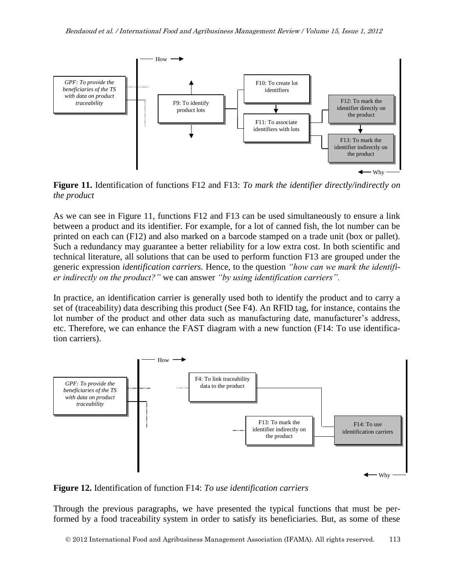

**Figure 11.** Identification of functions F12 and F13: *To mark the identifier directly/indirectly on the product*

As we can see in Figure 11, functions F12 and F13 can be used simultaneously to ensure a link between a product and its identifier. For example, for a lot of canned fish, the lot number can be printed on each can (F12) and also marked on a barcode stamped on a trade unit (box or pallet). Such a redundancy may guarantee a better reliability for a low extra cost. In both scientific and technical literature, all solutions that can be used to perform function F13 are grouped under the generic expression *identification carriers.* Hence, to the question *"how can we mark the identifier indirectly on the product?"* we can answer *"by using identification carriers".* 

In practice, an identification carrier is generally used both to identify the product and to carry a set of (traceability) data describing this product (See F4). An RFID tag, for instance, contains the lot number of the product and other data such as manufacturing date, manufacturer's address, etc. Therefore, we can enhance the FAST diagram with a new function (F14: To use identification carriers).



**Figure 12.** Identification of function F14: *To use identification carriers*

Through the previous paragraphs, we have presented the typical functions that must be performed by a food traceability system in order to satisfy its beneficiaries. But, as some of these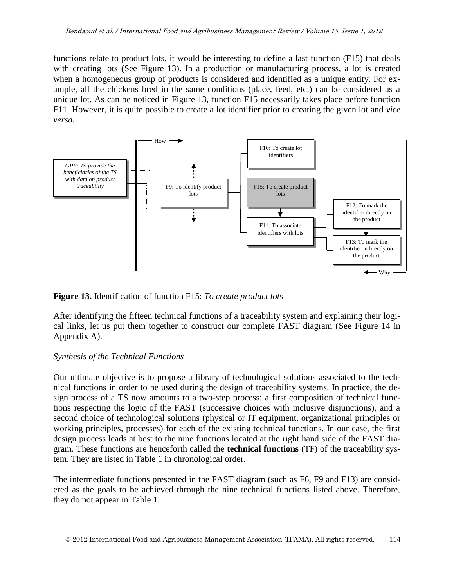functions relate to product lots, it would be interesting to define a last function (F15) that deals with creating lots (See Figure 13). In a production or manufacturing process, a lot is created when a homogeneous group of products is considered and identified as a unique entity. For example, all the chickens bred in the same conditions (place, feed, etc.) can be considered as a unique lot. As can be noticed in Figure 13, function F15 necessarily takes place before function F11. However, it is quite possible to create a lot identifier prior to creating the given lot and *vice versa.*



#### **Figure 13.** Identification of function F15: *To create product lots*

After identifying the fifteen technical functions of a traceability system and explaining their logical links, let us put them together to construct our complete FAST diagram (See Figure 14 in Appendix A).

#### *Synthesis of the Technical Functions*

Our ultimate objective is to propose a library of technological solutions associated to the technical functions in order to be used during the design of traceability systems. In practice, the design process of a TS now amounts to a two-step process: a first composition of technical functions respecting the logic of the FAST (successive choices with inclusive disjunctions), and a second choice of technological solutions (physical or IT equipment, organizational principles or working principles, processes) for each of the existing technical functions. In our case, the first design process leads at best to the nine functions located at the right hand side of the FAST diagram. These functions are henceforth called the **technical functions** (TF) of the traceability system. They are listed in Table 1 in chronological order.

The intermediate functions presented in the FAST diagram (such as F6, F9 and F13) are considered as the goals to be achieved through the nine technical functions listed above. Therefore, they do not appear in Table 1.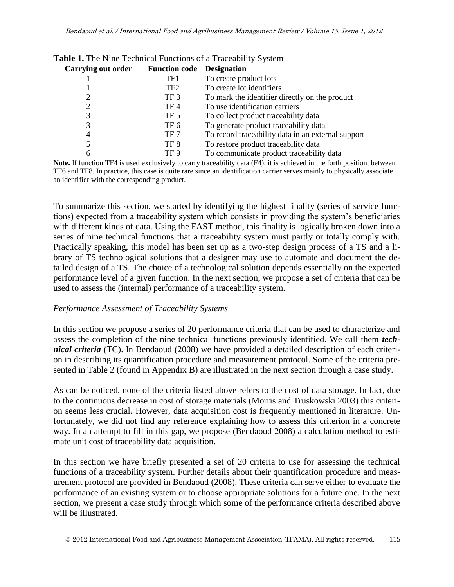| Carrying out order | <b>Function code</b> | <b>Designation</b>                                 |
|--------------------|----------------------|----------------------------------------------------|
|                    | TF1                  | To create product lots                             |
|                    | TF2                  | To create lot identifiers                          |
|                    | TF <sub>3</sub>      | To mark the identifier directly on the product     |
|                    | TF 4                 | To use identification carriers                     |
|                    | TF 5                 | To collect product traceability data               |
| 3                  | TF 6                 | To generate product traceability data              |
| 4                  | TF 7                 | To record traceability data in an external support |
|                    | TF 8                 | To restore product traceability data               |
| h                  | TF 9                 | To communicate product traceability data           |

|  |  |  |  |  |  | Table 1. The Nine Technical Functions of a Traceability System |  |  |
|--|--|--|--|--|--|----------------------------------------------------------------|--|--|
|--|--|--|--|--|--|----------------------------------------------------------------|--|--|

**Note.** If function TF4 is used exclusively to carry traceability data (F4), it is achieved in the forth position, between TF6 and TF8. In practice, this case is quite rare since an identification carrier serves mainly to physically associate an identifier with the corresponding product.

To summarize this section, we started by identifying the highest finality (series of service functions) expected from a traceability system which consists in providing the system's beneficiaries with different kinds of data. Using the FAST method, this finality is logically broken down into a series of nine technical functions that a traceability system must partly or totally comply with. Practically speaking, this model has been set up as a two-step design process of a TS and a library of TS technological solutions that a designer may use to automate and document the detailed design of a TS. The choice of a technological solution depends essentially on the expected performance level of a given function. In the next section, we propose a set of criteria that can be used to assess the (internal) performance of a traceability system.

#### *Performance Assessment of Traceability Systems*

In this section we propose a series of 20 performance criteria that can be used to characterize and assess the completion of the nine technical functions previously identified. We call them *technical criteria* (TC). In Bendaoud (2008) we have provided a detailed description of each criterion in describing its quantification procedure and measurement protocol. Some of the criteria presented in Table 2 (found in Appendix B) are illustrated in the next section through a case study.

As can be noticed, none of the criteria listed above refers to the cost of data storage. In fact, due to the continuous decrease in cost of storage materials (Morris and Truskowski 2003) this criterion seems less crucial. However, data acquisition cost is frequently mentioned in literature. Unfortunately, we did not find any reference explaining how to assess this criterion in a concrete way. In an attempt to fill in this gap, we propose (Bendaoud 2008) a calculation method to estimate unit cost of traceability data acquisition.

In this section we have briefly presented a set of 20 criteria to use for assessing the technical functions of a traceability system. Further details about their quantification procedure and measurement protocol are provided in Bendaoud (2008). These criteria can serve either to evaluate the performance of an existing system or to choose appropriate solutions for a future one. In the next section, we present a case study through which some of the performance criteria described above will be illustrated.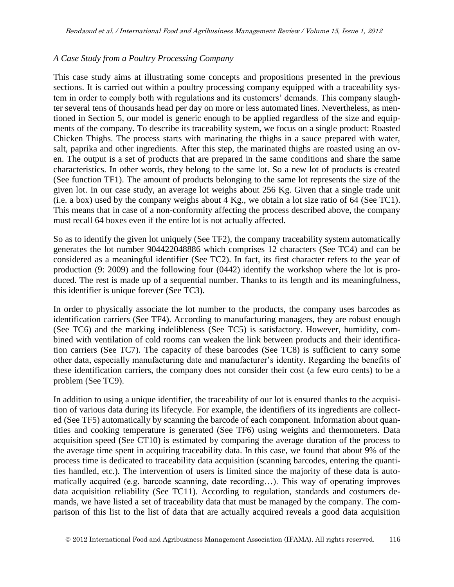#### *A Case Study from a Poultry Processing Company*

This case study aims at illustrating some concepts and propositions presented in the previous sections. It is carried out within a poultry processing company equipped with a traceability system in order to comply both with regulations and its customers' demands. This company slaughter several tens of thousands head per day on more or less automated lines. Nevertheless, as mentioned in Section 5, our model is generic enough to be applied regardless of the size and equipments of the company. To describe its traceability system, we focus on a single product: Roasted Chicken Thighs. The process starts with marinating the thighs in a sauce prepared with water, salt, paprika and other ingredients. After this step, the marinated thighs are roasted using an oven. The output is a set of products that are prepared in the same conditions and share the same characteristics. In other words, they belong to the same lot. So a new lot of products is created (See function TF1). The amount of products belonging to the same lot represents the size of the given lot. In our case study, an average lot weighs about 256 Kg. Given that a single trade unit (i.e. a box) used by the company weighs about 4 Kg., we obtain a lot size ratio of 64 (See TC1). This means that in case of a non-conformity affecting the process described above, the company must recall 64 boxes even if the entire lot is not actually affected.

So as to identify the given lot uniquely (See TF2), the company traceability system automatically generates the lot number 904422048886 which comprises 12 characters (See TC4) and can be considered as a meaningful identifier (See TC2). In fact, its first character refers to the year of production (9: 2009) and the following four (0442) identify the workshop where the lot is produced. The rest is made up of a sequential number. Thanks to its length and its meaningfulness, this identifier is unique forever (See TC3).

In order to physically associate the lot number to the products, the company uses barcodes as identification carriers (See TF4). According to manufacturing managers, they are robust enough (See TC6) and the marking indelibleness (See TC5) is satisfactory. However, humidity, combined with ventilation of cold rooms can weaken the link between products and their identification carriers (See TC7). The capacity of these barcodes (See TC8) is sufficient to carry some other data, especially manufacturing date and manufacturer's identity. Regarding the benefits of these identification carriers, the company does not consider their cost (a few euro cents) to be a problem (See TC9).

In addition to using a unique identifier, the traceability of our lot is ensured thanks to the acquisition of various data during its lifecycle. For example, the identifiers of its ingredients are collected (See TF5) automatically by scanning the barcode of each component. Information about quantities and cooking temperature is generated (See TF6) using weights and thermometers. Data acquisition speed (See CT10) is estimated by comparing the average duration of the process to the average time spent in acquiring traceability data. In this case, we found that about 9% of the process time is dedicated to traceability data acquisition (scanning barcodes, entering the quantities handled, etc.). The intervention of users is limited since the majority of these data is automatically acquired (e.g. barcode scanning, date recording…). This way of operating improves data acquisition reliability (See TC11). According to regulation, standards and costumers demands, we have listed a set of traceability data that must be managed by the company. The comparison of this list to the list of data that are actually acquired reveals a good data acquisition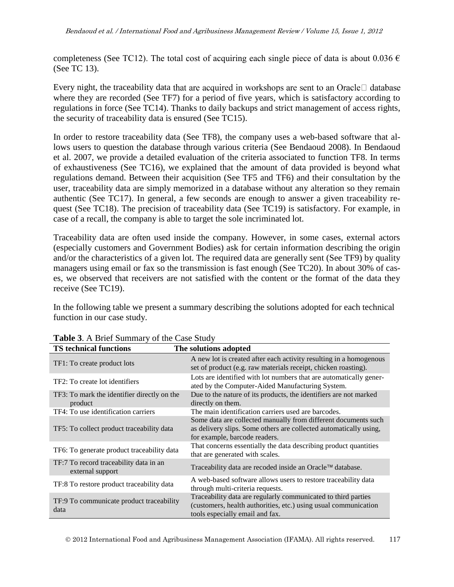completeness (See TC12). The total cost of acquiring each single piece of data is about 0.036  $\epsilon$ (See TC 13).

Every night, the traceability data that are acquired in workshops are sent to an Oracle  $\Box$  database where they are recorded (See TF7) for a period of five years, which is satisfactory according to regulations in force (See TC14). Thanks to daily backups and strict management of access rights, the security of traceability data is ensured (See TC15).

In order to restore traceability data (See TF8), the company uses a web-based software that allows users to question the database through various criteria (See Bendaoud 2008). In Bendaoud et al. 2007, we provide a detailed evaluation of the criteria associated to function TF8. In terms of exhaustiveness (See TC16), we explained that the amount of data provided is beyond what regulations demand. Between their acquisition (See TF5 and TF6) and their consultation by the user, traceability data are simply memorized in a database without any alteration so they remain authentic (See TC17). In general, a few seconds are enough to answer a given traceability request (See TC18). The precision of traceability data (See TC19) is satisfactory. For example, in case of a recall, the company is able to target the sole incriminated lot.

Traceability data are often used inside the company. However, in some cases, external actors (especially customers and Government Bodies) ask for certain information describing the origin and/or the characteristics of a given lot. The required data are generally sent (See TF9) by quality managers using email or fax so the transmission is fast enough (See TC20). In about 30% of cases, we observed that receivers are not satisfied with the content or the format of the data they receive (See TC19).

In the following table we present a summary describing the solutions adopted for each technical function in our case study.

| <b>TS</b> technical functions                              | The solutions adopted                                                                                                                                                |
|------------------------------------------------------------|----------------------------------------------------------------------------------------------------------------------------------------------------------------------|
| TF1: To create product lots                                | A new lot is created after each activity resulting in a homogenous<br>set of product (e.g. raw materials receipt, chicken roasting).                                 |
| TF2: To create lot identifiers                             | Lots are identified with lot numbers that are automatically gener-<br>ated by the Computer-Aided Manufacturing System.                                               |
| TF3: To mark the identifier directly on the<br>product     | Due to the nature of its products, the identifiers are not marked<br>directly on them.                                                                               |
| TF4: To use identification carriers                        | The main identification carriers used are barcodes.                                                                                                                  |
| TF5: To collect product traceability data                  | Some data are collected manually from different documents such<br>as delivery slips. Some others are collected automatically using,<br>for example, barcode readers. |
| TF6: To generate product traceability data                 | That concerns essentially the data describing product quantities<br>that are generated with scales.                                                                  |
| TF:7 To record traceability data in an<br>external support | Traceability data are recoded inside an Oracle™ database.                                                                                                            |
| TF:8 To restore product traceability data                  | A web-based software allows users to restore traceability data<br>through multi-criteria requests.                                                                   |
| TF:9 To communicate product traceability<br>data           | Traceability data are regularly communicated to third parties<br>(customers, health authorities, etc.) using usual communication<br>tools especially email and fax.  |

**Table 3**. A Brief Summary of the Case Study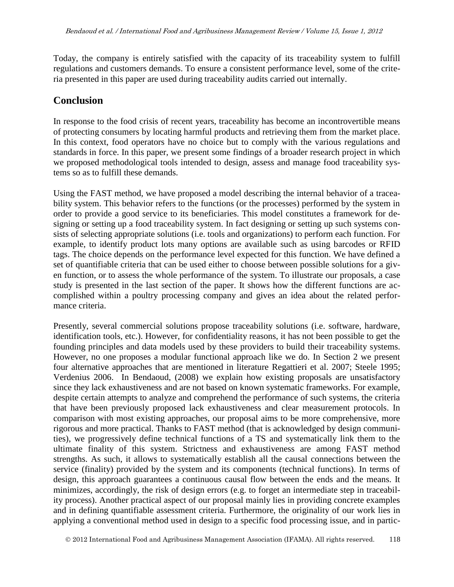Today, the company is entirely satisfied with the capacity of its traceability system to fulfill regulations and customers demands. To ensure a consistent performance level, some of the criteria presented in this paper are used during traceability audits carried out internally.

### **Conclusion**

In response to the food crisis of recent years, traceability has become an incontrovertible means of protecting consumers by locating harmful products and retrieving them from the market place. In this context, food operators have no choice but to comply with the various regulations and standards in force. In this paper, we present some findings of a broader research project in which we proposed methodological tools intended to design, assess and manage food traceability systems so as to fulfill these demands.

Using the FAST method, we have proposed a model describing the internal behavior of a traceability system. This behavior refers to the functions (or the processes) performed by the system in order to provide a good service to its beneficiaries. This model constitutes a framework for designing or setting up a food traceability system. In fact designing or setting up such systems consists of selecting appropriate solutions (i.e. tools and organizations) to perform each function. For example, to identify product lots many options are available such as using barcodes or RFID tags. The choice depends on the performance level expected for this function. We have defined a set of quantifiable criteria that can be used either to choose between possible solutions for a given function, or to assess the whole performance of the system. To illustrate our proposals, a case study is presented in the last section of the paper. It shows how the different functions are accomplished within a poultry processing company and gives an idea about the related performance criteria.

Presently, several commercial solutions propose traceability solutions (i.e. software, hardware, identification tools, etc.). However, for confidentiality reasons, it has not been possible to get the founding principles and data models used by these providers to build their traceability systems. However, no one proposes a modular functional approach like we do. In Section 2 we present four alternative approaches that are mentioned in literature Regattieri et al. 2007; Steele 1995; Verdenius 2006. In Bendaoud, (2008) we explain how existing proposals are unsatisfactory since they lack exhaustiveness and are not based on known systematic frameworks. For example, despite certain attempts to analyze and comprehend the performance of such systems, the criteria that have been previously proposed lack exhaustiveness and clear measurement protocols. In comparison with most existing approaches, our proposal aims to be more comprehensive, more rigorous and more practical. Thanks to FAST method (that is acknowledged by design communities), we progressively define technical functions of a TS and systematically link them to the ultimate finality of this system. Strictness and exhaustiveness are among FAST method strengths. As such, it allows to systematically establish all the causal connections between the service (finality) provided by the system and its components (technical functions). In terms of design, this approach guarantees a continuous causal flow between the ends and the means. It minimizes, accordingly, the risk of design errors (e.g. to forget an intermediate step in traceability process). Another practical aspect of our proposal mainly lies in providing concrete examples and in defining quantifiable assessment criteria. Furthermore, the originality of our work lies in applying a conventional method used in design to a specific food processing issue, and in partic-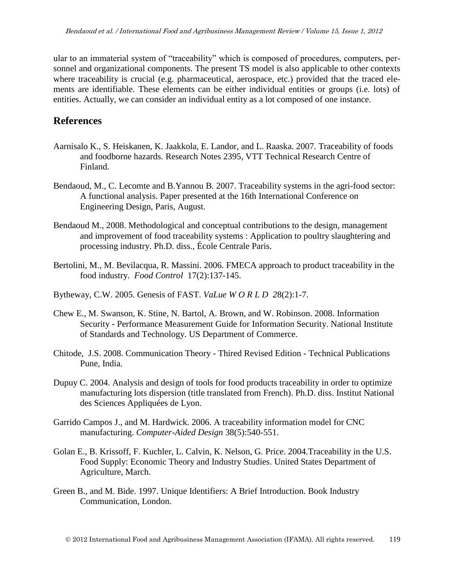ular to an immaterial system of "traceability" which is composed of procedures, computers, personnel and organizational components. The present TS model is also applicable to other contexts where traceability is crucial (e.g. pharmaceutical, aerospace, etc.) provided that the traced elements are identifiable. These elements can be either individual entities or groups (i.e. lots) of entities. Actually, we can consider an individual entity as a lot composed of one instance.

## **References**

- Aarnisalo K., S. Heiskanen, K. Jaakkola, E. Landor, and L. Raaska. 2007. Traceability of foods and foodborne hazards. Research Notes 2395, VTT Technical Research Centre of Finland.
- Bendaoud, M., C. Lecomte and B.Yannou B. 2007. Traceability systems in the agri-food sector: A functional analysis. Paper presented at the 16th International Conference on Engineering Design, Paris, August.
- Bendaoud M., 2008. Methodological and conceptual contributions to the design, management and improvement of food traceability systems : Application to poultry slaughtering and processing industry. Ph.D. diss., École Centrale Paris.
- Bertolini, M., M. Bevilacqua, R. Massini. 2006. FMECA approach to product traceability in the food industry. *Food Control* 17(2):137-145.
- Bytheway, C.W. 2005. Genesis of FAST. *VaLue W O R L D 2*8(2):1-7.
- Chew E., M. Swanson, K. Stine, N. Bartol, A. Brown, and W. Robinson. 2008. Information Security - Performance Measurement Guide for Information Security. National Institute of Standards and Technology. US Department of Commerce.
- Chitode, J.S. 2008. Communication Theory Thired Revised Edition Technical Publications Pune, India.
- Dupuy C. 2004. Analysis and design of tools for food products traceability in order to optimize manufacturing lots dispersion (title translated from French). Ph.D. diss. Institut National des Sciences Appliquées de Lyon.
- Garrido Campos J., and M. Hardwick. 2006. A traceability information model for CNC manufacturing. *Computer-Aided Design* 38(5):540-551.
- Golan E., B. Krissoff, F. Kuchler, L. Calvin, K. Nelson, G. Price. 2004.Traceability in the U.S. Food Supply: Economic Theory and Industry Studies. United States Department of Agriculture, March.
- Green B., and M. Bide. 1997. Unique Identifiers: A Brief Introduction. Book Industry Communication, London.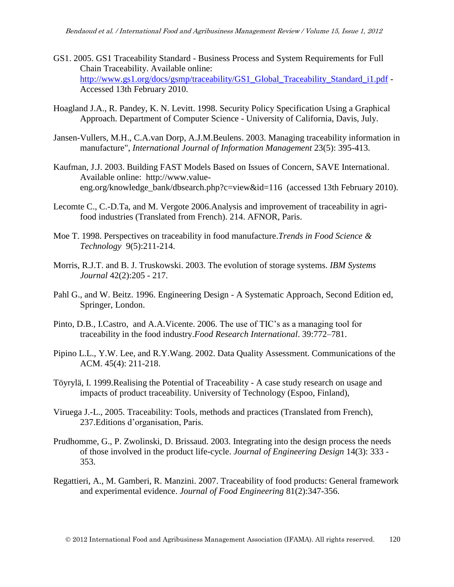- GS1. 2005. GS1 Traceability Standard Business Process and System Requirements for Full Chain Traceability. Available online: [http://www.gs1.org/docs/gsmp/traceability/GS1\\_Global\\_Traceability\\_Standard\\_i1.pdf](http://www.gs1.org/docs/gsmp/traceability/GS1_Global_Traceability_Standard_i1.pdf) -Accessed 13th February 2010.
- Hoagland J.A., R. Pandey, K. N. Levitt. 1998. Security Policy Specification Using a Graphical Approach. Department of Computer Science - University of California, Davis, July.
- Jansen-Vullers, M.H., C.A.van Dorp, A.J.M.Beulens. 2003. Managing traceability information in manufacture", *International Journal of Information Management* 23(5): 395-413.
- Kaufman, J.J. 2003. Building FAST Models Based on Issues of Concern, SAVE International. Available online: http://www.valueeng.org/knowledge\_bank/dbsearch.php?c=view&id=116 (accessed 13th February 2010).
- Lecomte C., C.-D.Ta, and M. Vergote 2006.Analysis and improvement of traceability in agrifood industries (Translated from French). 214. AFNOR, Paris.
- Moe T. 1998. Perspectives on traceability in food manufacture.*Trends in Food Science & Technology* 9(5):211-214.
- Morris, R.J.T. and B. J. Truskowski. 2003. The evolution of storage systems. *IBM Systems Journal* 42(2):205 - 217.
- Pahl G., and W. Beitz. 1996. Engineering Design A Systematic Approach, Second Edition ed, Springer, London.
- Pinto, D.B., I.Castro, and A.A.Vicente. 2006. The use of TIC's as a managing tool for traceability in the food industry.*Food Research International*. 39:772–781.
- Pipino L.L., Y.W. Lee, and R.Y.Wang. 2002. Data Quality Assessment. Communications of the ACM. 45(4): 211-218.
- Töyrylä, I. 1999.Realising the Potential of Traceability A case study research on usage and impacts of product traceability. University of Technology (Espoo, Finland),
- Viruega J.-L., 2005. Traceability: Tools, methods and practices (Translated from French), 237.Editions d'organisation, Paris.
- Prudhomme, G., P. Zwolinski, D. Brissaud. 2003. Integrating into the design process the needs of those involved in the product life-cycle. *Journal of Engineering Design* 14(3): 333 - 353.
- Regattieri, A., M. Gamberi, R. Manzini. 2007. Traceability of food products: General framework and experimental evidence. *Journal of Food Engineering* 81(2):347-356.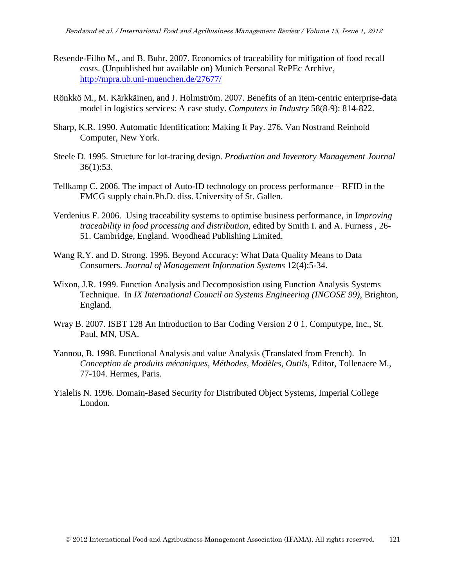- Resende-Filho M., and B. Buhr. 2007. Economics of traceability for mitigation of food recall costs. (Unpublished but available on) Munich Personal RePEc Archive, <http://mpra.ub.uni-muenchen.de/27677/>
- Rönkkö M., M. Kärkkäinen, and J. Holmström. 2007. Benefits of an item-centric enterprise-data model in logistics services: A case study. *Computers in Industry* 58(8-9): 814-822.
- Sharp, K.R. 1990. Automatic Identification: Making It Pay. 276. Van Nostrand Reinhold Computer, New York.
- Steele D. 1995. Structure for lot-tracing design. *Production and Inventory Management Journal* 36(1):53.
- Tellkamp C. 2006. The impact of Auto-ID technology on process performance RFID in the FMCG supply chain.Ph.D. diss. University of St. Gallen.
- Verdenius F. 2006. Using traceability systems to optimise business performance, in I*mproving traceability in food processing and distribution*, edited by Smith I. and A. Furness , 26- 51. Cambridge, England. Woodhead Publishing Limited.
- Wang R.Y. and D. Strong. 1996. Beyond Accuracy: What Data Quality Means to Data Consumers. *Journal of Management Information Systems* 12(4):5-34.
- Wixon, J.R. 1999. Function Analysis and Decomposistion using Function Analysis Systems Technique. In *IX International Council on Systems Engineering (INCOSE 99)*, Brighton, England.
- Wray B. 2007. ISBT 128 An Introduction to Bar Coding Version 2 0 1. Computype, Inc., St. Paul, MN, USA.
- Yannou, B. 1998. Functional Analysis and value Analysis (Translated from French). In *Conception de produits mécaniques, Méthodes, Modèles, Outils*, Editor, Tollenaere M., 77-104. Hermes, Paris.
- Yialelis N. 1996. Domain-Based Security for Distributed Object Systems, Imperial College London.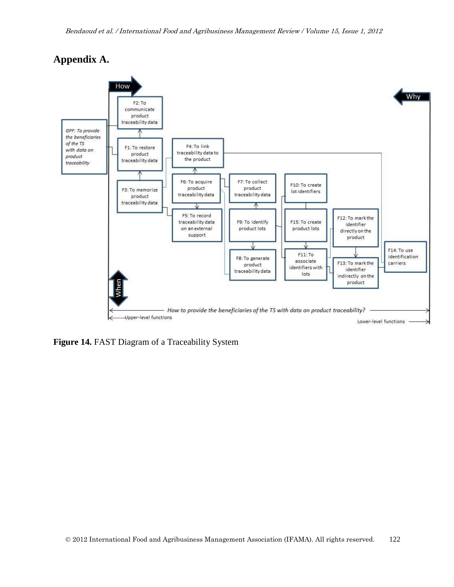## **Appendix A.**



**Figure 14.** FAST Diagram of a Traceability System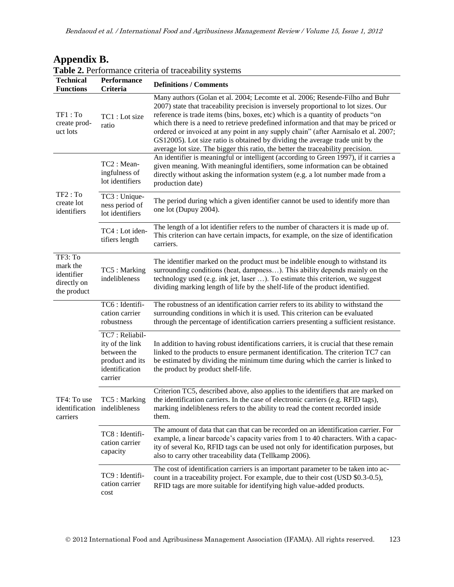| <b>Table 2.</b> Performance criteria of traceability systems    |                                                                                                  |                                                                                                                                                                                                                                                                                                                                                                                                                                                                                                                                                                                                          |  |  |
|-----------------------------------------------------------------|--------------------------------------------------------------------------------------------------|----------------------------------------------------------------------------------------------------------------------------------------------------------------------------------------------------------------------------------------------------------------------------------------------------------------------------------------------------------------------------------------------------------------------------------------------------------------------------------------------------------------------------------------------------------------------------------------------------------|--|--|
| <b>Technical</b><br><b>Functions</b>                            | <b>Performance</b><br><b>Criteria</b>                                                            | <b>Definitions / Comments</b>                                                                                                                                                                                                                                                                                                                                                                                                                                                                                                                                                                            |  |  |
| TF1: To<br>create prod-<br>uct lots                             | TC1 : Lot size<br>ratio                                                                          | Many authors (Golan et al. 2004; Lecomte et al. 2006; Resende-Filho and Buhr<br>2007) state that traceability precision is inversely proportional to lot sizes. Our<br>reference is trade items (bins, boxes, etc) which is a quantity of products "on<br>which there is a need to retrieve predefined information and that may be priced or<br>ordered or invoiced at any point in any supply chain" (after Aarnisalo et al. 2007;<br>GS12005). Lot size ratio is obtained by dividing the average trade unit by the<br>average lot size. The bigger this ratio, the better the traceability precision. |  |  |
|                                                                 | TC2: Mean-<br>ingfulness of<br>lot identifiers                                                   | An identifier is meaningful or intelligent (according to Green 1997), if it carries a<br>given meaning. With meaningful identifiers, some information can be obtained<br>directly without asking the information system (e.g. a lot number made from a<br>production date)                                                                                                                                                                                                                                                                                                                               |  |  |
| TF2: To<br>create lot<br>identifiers                            | TC3 : Unique-<br>ness period of<br>lot identifiers                                               | The period during which a given identifier cannot be used to identify more than<br>one lot (Dupuy 2004).                                                                                                                                                                                                                                                                                                                                                                                                                                                                                                 |  |  |
|                                                                 | TC4 : Lot iden-<br>tifiers length                                                                | The length of a lot identifier refers to the number of characters it is made up of.<br>This criterion can have certain impacts, for example, on the size of identification<br>carriers.                                                                                                                                                                                                                                                                                                                                                                                                                  |  |  |
| TF3: To<br>mark the<br>identifier<br>directly on<br>the product | TC5: Marking<br>indelibleness                                                                    | The identifier marked on the product must be indelible enough to withstand its<br>surrounding conditions (heat, dampness). This ability depends mainly on the<br>technology used (e.g. ink jet, laser ). To estimate this criterion, we suggest<br>dividing marking length of life by the shelf-life of the product identified.                                                                                                                                                                                                                                                                          |  |  |
|                                                                 | TC6 : Identifi-<br>cation carrier<br>robustness                                                  | The robustness of an identification carrier refers to its ability to withstand the<br>surrounding conditions in which it is used. This criterion can be evaluated<br>through the percentage of identification carriers presenting a sufficient resistance.                                                                                                                                                                                                                                                                                                                                               |  |  |
|                                                                 | TC7: Reliabil-<br>ity of the link<br>between the<br>product and its<br>identification<br>carrier | In addition to having robust identifications carriers, it is crucial that these remain<br>linked to the products to ensure permanent identification. The criterion TC7 can<br>be estimated by dividing the minimum time during which the carrier is linked to<br>the product by product shelf-life.                                                                                                                                                                                                                                                                                                      |  |  |
| TF4: To use<br>carriers                                         | TC5 : Marking<br>identification indelibleness                                                    | Criterion TC5, described above, also applies to the identifiers that are marked on<br>the identification carriers. In the case of electronic carriers (e.g. RFID tags),<br>marking indelibleness refers to the ability to read the content recorded inside<br>them.                                                                                                                                                                                                                                                                                                                                      |  |  |
|                                                                 | TC8 : Identifi-<br>cation carrier<br>capacity                                                    | The amount of data that can that can be recorded on an identification carrier. For<br>example, a linear barcode's capacity varies from 1 to 40 characters. With a capac-<br>ity of several Ko, RFID tags can be used not only for identification purposes, but<br>also to carry other traceability data (Tellkamp 2006).                                                                                                                                                                                                                                                                                 |  |  |
|                                                                 | TC9 : Identifi-<br>cation carrier<br>cost                                                        | The cost of identification carriers is an important parameter to be taken into ac-<br>count in a traceability project. For example, due to their cost (USD \$0.3-0.5),<br>RFID tags are more suitable for identifying high value-added products.                                                                                                                                                                                                                                                                                                                                                         |  |  |

# **Appendix B.**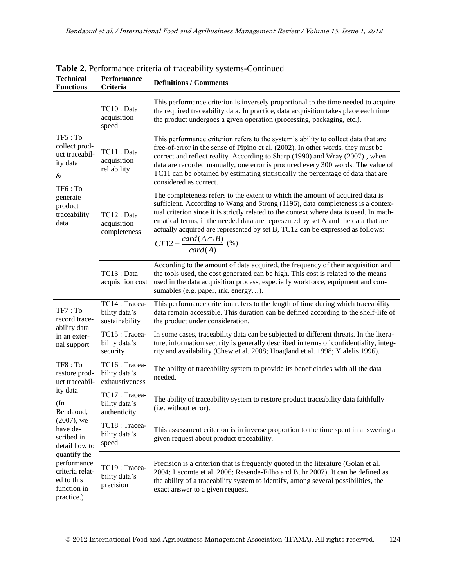| <b>Technical</b><br><b>Functions</b>                                                      | Performance<br><b>Criteria</b>                   | <b>Definitions / Comments</b>                                                                                                                                                                                                                                                                                                                                                                                                                                                    |  |  |
|-------------------------------------------------------------------------------------------|--------------------------------------------------|----------------------------------------------------------------------------------------------------------------------------------------------------------------------------------------------------------------------------------------------------------------------------------------------------------------------------------------------------------------------------------------------------------------------------------------------------------------------------------|--|--|
|                                                                                           | TC10 : Data<br>acquisition<br>speed              | This performance criterion is inversely proportional to the time needed to acquire<br>the required traceability data. In practice, data acquisition takes place each time<br>the product undergoes a given operation (processing, packaging, etc.).                                                                                                                                                                                                                              |  |  |
| TF5: To<br>collect prod-<br>uct traceabil-<br>ity data<br>&<br>TF6: To                    | TC11 : Data<br>acquisition<br>reliability        | This performance criterion refers to the system's ability to collect data that are<br>free-of-error in the sense of Pipino et al. (2002). In other words, they must be<br>correct and reflect reality. According to Sharp (1990) and Wray (2007), when<br>data are recorded manually, one error is produced every 300 words. The value of<br>TC11 can be obtained by estimating statistically the percentage of data that are<br>considered as correct.                          |  |  |
| generate<br>product<br>traceability<br>data                                               | TC12: Data<br>acquisition<br>completeness        | The completeness refers to the extent to which the amount of acquired data is<br>sufficient. According to Wang and Strong (1196), data completeness is a contex-<br>tual criterion since it is strictly related to the context where data is used. In math-<br>ematical terms, if the needed data are represented by set A and the data that are<br>actually acquired are represented by set B, TC12 can be expressed as follows:<br>$CT12 = \frac{card(A \cap B)}{card(A)}$ (%) |  |  |
|                                                                                           | TC13 : Data<br>acquisition cost                  | According to the amount of data acquired, the frequency of their acquisition and<br>the tools used, the cost generated can be high. This cost is related to the means<br>used in the data acquisition process, especially workforce, equipment and con-<br>sumables (e.g. paper, ink, energy).                                                                                                                                                                                   |  |  |
| TF7: To<br>record trace-<br>ability data                                                  | TC14: Tracea-<br>bility data's<br>sustainability | This performance criterion refers to the length of time during which traceability<br>data remain accessible. This duration can be defined according to the shelf-life of<br>the product under consideration.                                                                                                                                                                                                                                                                     |  |  |
| in an exter-<br>nal support                                                               | TC15: Tracea-<br>bility data's<br>security       | In some cases, traceability data can be subjected to different threats. In the litera-<br>ture, information security is generally described in terms of confidentiality, integ-<br>rity and availability (Chew et al. 2008; Hoagland et al. 1998; Yialelis 1996).                                                                                                                                                                                                                |  |  |
| TF8: To<br>restore prod-<br>uct traceabil-                                                | TC16: Tracea-<br>bility data's<br>exhaustiveness | The ability of traceability system to provide its beneficiaries with all the data<br>needed.                                                                                                                                                                                                                                                                                                                                                                                     |  |  |
| ity data<br>$(\ln$<br>Bendaoud,                                                           | TC17: Tracea-<br>bility data's<br>authenticity   | The ability of traceability system to restore product traceability data faithfully<br>(i.e. without error).                                                                                                                                                                                                                                                                                                                                                                      |  |  |
| $(2007)$ , we<br>have de-<br>scribed in<br>detail how to                                  | TC18: Tracea-<br>bility data's<br>speed          | This assessment criterion is in inverse proportion to the time spent in answering a<br>given request about product traceability.                                                                                                                                                                                                                                                                                                                                                 |  |  |
| quantify the<br>performance<br>criteria relat-<br>ed to this<br>function in<br>practice.) | TC19: Tracea-<br>bility data's<br>precision      | Precision is a criterion that is frequently quoted in the literature (Golan et al.<br>2004; Lecomte et al. 2006; Resende-Filho and Buhr 2007). It can be defined as<br>the ability of a traceability system to identify, among several possibilities, the<br>exact answer to a given request.                                                                                                                                                                                    |  |  |

**Table 2.** Performance criteria of traceability systems-Continued